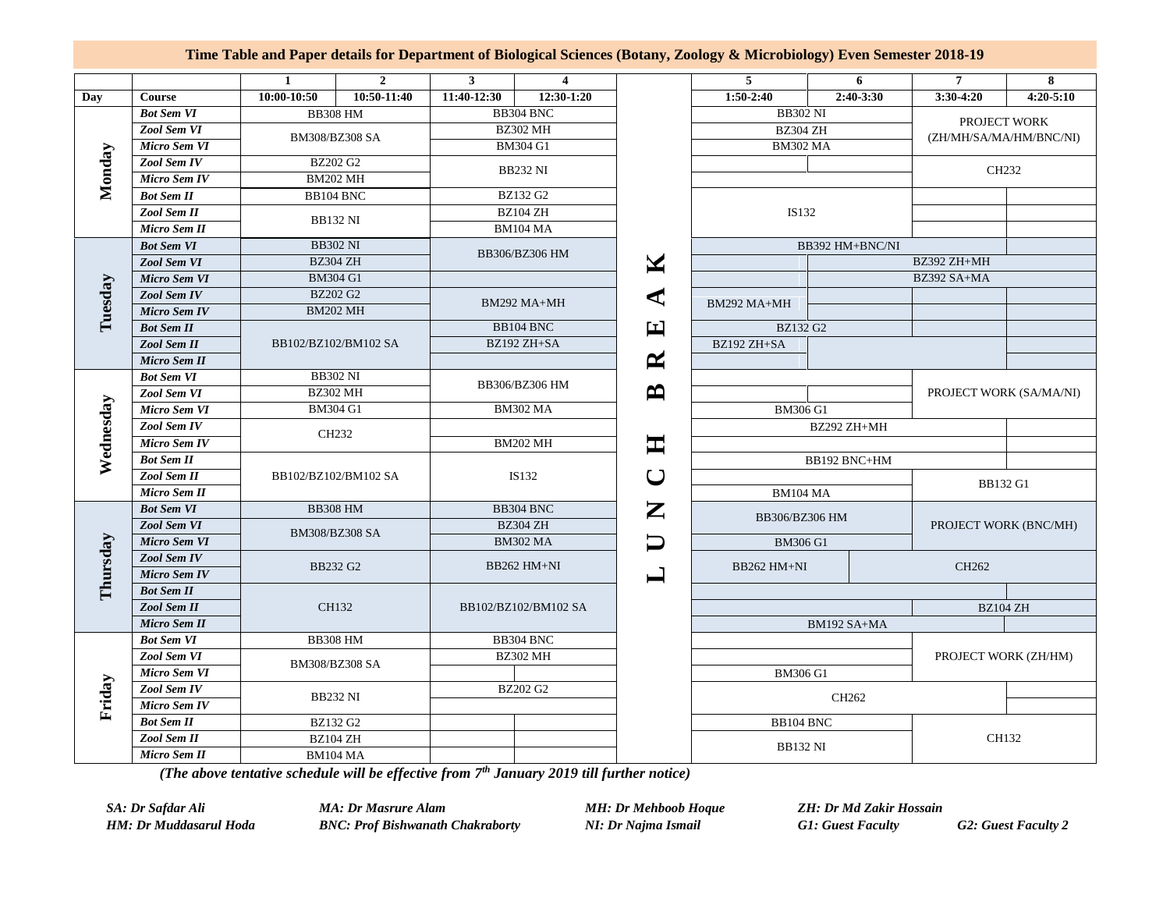## **Time Table and Paper details for Department of Biological Sciences (Botany, Zoology & Microbiology) Even Semester 2018-19**

|           |                     | $\mathbf{1}$                       | $\overline{2}$ | $\mathbf{3}$                      | $\overline{\mathbf{4}}$ |                                                                                                                              | 5                                                     | 6           | $\overline{7}$                          | 8                     |  |
|-----------|---------------------|------------------------------------|----------------|-----------------------------------|-------------------------|------------------------------------------------------------------------------------------------------------------------------|-------------------------------------------------------|-------------|-----------------------------------------|-----------------------|--|
| Day       | Course              | 10:00-10:50                        | 10:50-11:40    | 11:40-12:30                       | 12:30-1:20              |                                                                                                                              | 1:50-2:40                                             | $2:40-3:30$ | $3:30-4:20$                             | $4:20 - 5:10$         |  |
| Monday    | <b>Bot Sem VI</b>   | <b>BB308 HM</b>                    |                | BB304 BNC                         |                         |                                                                                                                              | <b>BB302 NI</b><br><b>BZ304 ZH</b><br><b>BM302 MA</b> |             | PROJECT WORK<br>(ZH/MH/SA/MA/HM/BNC/NI) |                       |  |
|           | Zool Sem VI         | BM308/BZ308 SA                     |                | <b>BZ302 MH</b>                   |                         |                                                                                                                              |                                                       |             |                                         |                       |  |
|           | Micro Sem VI        |                                    |                | <b>BM304 G1</b>                   |                         |                                                                                                                              |                                                       |             |                                         |                       |  |
|           | <b>Zool Sem IV</b>  | <b>BZ202 G2</b>                    |                | <b>BB232 NI</b>                   |                         |                                                                                                                              |                                                       |             | CH <sub>232</sub>                       |                       |  |
|           | <b>Micro Sem IV</b> | <b>BM202 MH</b>                    |                |                                   |                         |                                                                                                                              |                                                       |             |                                         |                       |  |
|           | <b>Bot Sem II</b>   | BB104 BNC                          |                | BZ132 G2                          |                         |                                                                                                                              |                                                       |             |                                         |                       |  |
|           | Zool Sem II         | <b>BB132 NI</b>                    |                | BZ104 ZH                          |                         |                                                                                                                              | IS132                                                 |             |                                         |                       |  |
|           | Micro Sem II        |                                    |                | <b>BM104 MA</b>                   |                         |                                                                                                                              |                                                       |             |                                         |                       |  |
|           | <b>Bot Sem VI</b>   | <b>BB302 NI</b>                    |                | BB306/BZ306 HM                    |                         |                                                                                                                              | BB392 HM+BNC/NI                                       |             |                                         |                       |  |
|           | Zool Sem VI         | <b>BZ304 ZH</b>                    |                |                                   |                         | M                                                                                                                            | BZ392 ZH+MH                                           |             |                                         |                       |  |
|           | <b>Micro Sem VI</b> | <b>BM304 G1</b>                    |                |                                   |                         |                                                                                                                              |                                                       |             | BZ392 SA+MA                             |                       |  |
|           | Zool Sem IV         | <b>BZ202 G2</b><br><b>BM202 MH</b> |                | BM292 MA+MH                       |                         | ⋖                                                                                                                            | BM292 MA+MH                                           |             |                                         |                       |  |
| Tuesday   | <b>Micro Sem IV</b> |                                    |                |                                   |                         |                                                                                                                              |                                                       |             |                                         |                       |  |
|           | <b>Bot Sem II</b>   |                                    |                |                                   | BB104 BNC               | $\bf{F}$                                                                                                                     | <b>BZ132 G2</b>                                       |             |                                         |                       |  |
|           | Zool Sem II         | BB102/BZ102/BM102 SA               |                |                                   | BZ192 ZH+SA             |                                                                                                                              | BZ192 ZH+SA                                           |             |                                         |                       |  |
|           | <b>Micro Sem II</b> |                                    |                |                                   |                         | ≃                                                                                                                            |                                                       |             |                                         |                       |  |
| Wednesday | <b>Bot Sem VI</b>   | <b>BB302 NI</b><br><b>BZ302 MH</b> |                | BB306/BZ306 HM<br><b>BM302 MA</b> |                         | ≏                                                                                                                            |                                                       |             |                                         |                       |  |
|           | Zool Sem VI         |                                    |                |                                   |                         |                                                                                                                              |                                                       |             | PROJECT WORK (SA/MA/NI)                 |                       |  |
|           | Micro Sem VI        | <b>BM304 G1</b>                    |                |                                   |                         |                                                                                                                              | <b>BM306 G1</b>                                       |             |                                         |                       |  |
|           | Zool Sem IV         | CH232                              |                | <b>BM202 MH</b>                   |                         |                                                                                                                              |                                                       | BZ292 ZH+MH |                                         |                       |  |
|           | Micro Sem IV        |                                    |                |                                   |                         | $\blacksquare$                                                                                                               |                                                       |             |                                         |                       |  |
|           | <b>Bot Sem II</b>   | BB102/BZ102/BM102 SA               |                | IS132                             |                         |                                                                                                                              | BB192 BNC+HM                                          |             |                                         |                       |  |
|           | Zool Sem II         |                                    |                |                                   |                         | て                                                                                                                            | <b>BM104 MA</b>                                       |             | <b>BB132 G1</b>                         |                       |  |
|           | <b>Micro Sem II</b> |                                    |                |                                   |                         |                                                                                                                              |                                                       |             |                                         |                       |  |
| Thursday  | <b>Bot Sem VI</b>   | <b>BB308 HM</b>                    |                | BB304 BNC                         |                         | $\mathbf{Z}% _{T}=\mathbf{Z}_{T}\!\left( a,b\right) ,\ \mathbf{Z}_{T}=\mathbf{Z}_{T} \!\left( a,b\right) , \label{eq-qt:Z}%$ | BB306/BZ306 HM                                        |             |                                         |                       |  |
|           | Zool Sem VI         | BM308/BZ308 SA                     |                | <b>BZ304 ZH</b>                   |                         |                                                                                                                              |                                                       |             |                                         | PROJECT WORK (BNC/MH) |  |
|           | <b>Micro Sem VI</b> |                                    |                | <b>BM302 MA</b>                   |                         |                                                                                                                              | <b>BM306 G1</b>                                       |             |                                         |                       |  |
|           | Zool Sem IV         | BB232 G2                           |                | BB262 HM+NI                       |                         |                                                                                                                              | BB262 HM+NI                                           |             | CH262                                   |                       |  |
|           | <b>Micro Sem IV</b> |                                    |                |                                   |                         |                                                                                                                              |                                                       |             |                                         |                       |  |
|           | <b>Bot Sem II</b>   | CH132                              |                | BB102/BZ102/BM102 SA              |                         |                                                                                                                              |                                                       |             |                                         |                       |  |
|           | <b>Zool Sem II</b>  |                                    |                |                                   |                         |                                                                                                                              | BM192 SA+MA<br><b>BM306 G1</b>                        |             | <b>BZ104 ZH</b>                         |                       |  |
|           | Micro Sem II        |                                    |                |                                   |                         |                                                                                                                              |                                                       |             |                                         |                       |  |
|           | <b>Bot Sem VI</b>   | <b>BB308 HM</b>                    |                | BB304 BNC                         |                         |                                                                                                                              |                                                       |             | PROJECT WORK (ZH/HM)                    |                       |  |
| Friday    | Zool Sem VI         | BM308/BZ308 SA                     |                | <b>BZ302 MH</b>                   |                         |                                                                                                                              |                                                       |             |                                         |                       |  |
|           | Micro Sem VI        |                                    |                |                                   |                         |                                                                                                                              |                                                       |             |                                         |                       |  |
|           | Zool Sem IV         | <b>BB232 NI</b>                    |                | <b>BZ202 G2</b>                   |                         |                                                                                                                              | CH262                                                 |             |                                         |                       |  |
|           | <b>Micro Sem IV</b> |                                    |                |                                   |                         |                                                                                                                              |                                                       |             |                                         |                       |  |
|           | <b>Bot Sem II</b>   | BZ132 G2                           |                |                                   |                         |                                                                                                                              | BB104 BNC                                             |             |                                         |                       |  |
|           | Zool Sem II         | BZ104 ZH<br><b>BM104 MA</b>        |                |                                   |                         |                                                                                                                              | <b>BB132 NI</b>                                       |             | CH132                                   |                       |  |
|           | Micro Sem II        |                                    |                |                                   |                         |                                                                                                                              |                                                       |             |                                         |                       |  |

*(The above tentative schedule will be effective from 7 th January 2019 till further notice)*

*SA: Dr Safdar Ali MA: Dr Masrure Alam MH: Dr Mehboob Hoque ZH: Dr Md Zakir Hossain*

*HM: Dr Muddasarul Hoda BNC: Prof Bishwanath Chakraborty NI: Dr Najma Ismail G1: Guest Faculty G2: Guest Faculty 2*